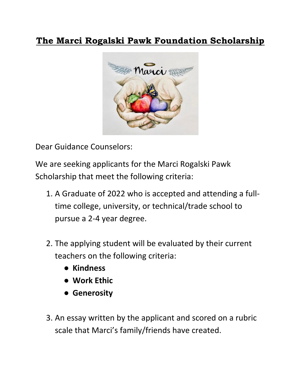## **The Marci Rogalski Pawk Foundation Scholarship**



Dear Guidance Counselors:

We are seeking applicants for the Marci Rogalski Pawk Scholarship that meet the following criteria:

- 1. A Graduate of 2022 who is accepted and attending a fulltime college, university, or technical/trade school to pursue a 2-4 year degree.
- 2. The applying student will be evaluated by their current teachers on the following criteria:
	- **Kindness**
	- **Work Ethic**
	- **Generosity**
- 3. An essay written by the applicant and scored on a rubric scale that Marci's family/friends have created.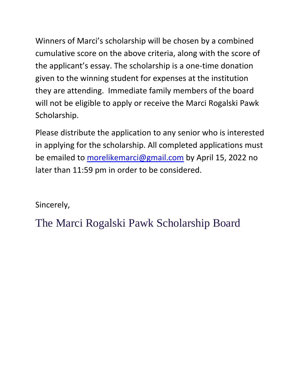Winners of Marci's scholarship will be chosen by a combined cumulative score on the above criteria, along with the score of the applicant's essay. The scholarship is a one-time donation given to the winning student for expenses at the institution they are attending. Immediate family members of the board will not be eligible to apply or receive the Marci Rogalski Pawk Scholarship.

Please distribute the application to any senior who is interested in applying for the scholarship. All completed applications must be emailed to [morelikemarci@gmail.com](mailto:morelikemarci@gmail.com) by April 15, 2022 no later than 11:59 pm in order to be considered.

Sincerely,

The Marci Rogalski Pawk Scholarship Board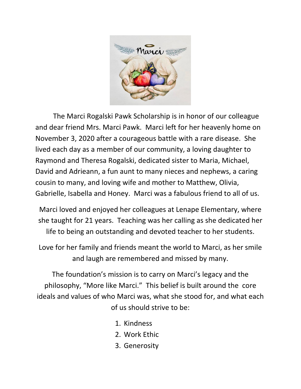

The Marci Rogalski Pawk Scholarship is in honor of our colleague and dear friend Mrs. Marci Pawk. Marci left for her heavenly home on November 3, 2020 after a courageous battle with a rare disease. She lived each day as a member of our community, a loving daughter to Raymond and Theresa Rogalski, dedicated sister to Maria, Michael, David and Adrieann, a fun aunt to many nieces and nephews, a caring cousin to many, and loving wife and mother to Matthew, Olivia, Gabrielle, Isabella and Honey. Marci was a fabulous friend to all of us.

Marci loved and enjoyed her colleagues at Lenape Elementary, where she taught for 21 years. Teaching was her calling as she dedicated her life to being an outstanding and devoted teacher to her students.

Love for her family and friends meant the world to Marci, as her smile and laugh are remembered and missed by many.

The foundation's mission is to carry on Marci's legacy and the philosophy, "More like Marci." This belief is built around the core ideals and values of who Marci was, what she stood for, and what each of us should strive to be:

- 1. Kindness
- 2. Work Ethic
- 3. Generosity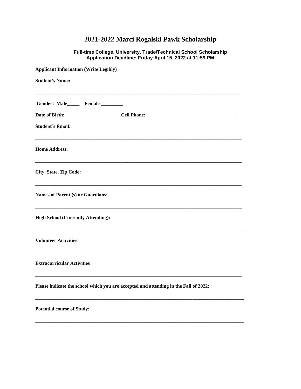## **2021-2022 Marci Rogalski Pawk Scholarship**

**Full-time College, University, Trade/Technical School Scholarship Application Deadline: Friday April 15, 2022 at 11:59 PM**

| <b>Applicant Information (Write Legibly)</b>                                         |
|--------------------------------------------------------------------------------------|
| <b>Student's Name:</b>                                                               |
| Gender: Male_______ Female ________                                                  |
|                                                                                      |
| <b>Student's Email:</b>                                                              |
| <b>Home Address:</b>                                                                 |
| City, State, Zip Code:                                                               |
| Names of Parent (s) or Guardians:                                                    |
| <b>High School (Currently Attending):</b>                                            |
| <b>Volunteer Activities</b>                                                          |
| <b>Extracurricular Activities</b>                                                    |
| Please indicate the school which you are accepted and attending in the Fall of 2022: |
| <b>Potential course of Study:</b>                                                    |